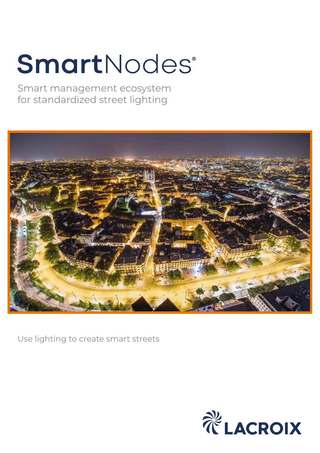# SmartNodes®

Smart management ecosystem for standardized street lighting



Use lighting to create smart streets

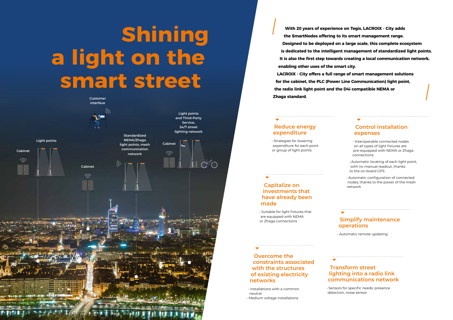# **Shining a light on the smart street**



#### **Reduce energy expenditure**

• Strategies for lowering expenditure for each point or group of light points

#### **Control installation expenses**

- Interoperable connected nodes on all types of light fixtures are pre-equipped with NEMA or Zhaga connections
- Automatic locating of each light point, with no manual readout, thanks to the on-board GPS
- Automatic configuration of connected nodes, thanks to the power of the mesh network

#### **Overcome the constraints associated with the structures of existing electricity networks**

• Installations with a common neutral • Medium voltage installations

**Capitalize on investments that have already been made**

• Suitable for light fixtures that are equipped with NEMA

### or Zhaga connections **Simplify maintenance operations**

• Automatic remote updating

#### **Transform street lighting into a radio link communications network**

• Sensors for specific needs: presence detection, noise sensor

- 
- 
- 
- 
- 
- 
- 

**With 20 years of experience on Tegis, LACROIX - City adds the SmartNodes offering to its smart management range. Designed to be deployed on a large scale, this complete ecosystem is dedicated to the intelligent management of standardized light points. It is also the first step towards creating a local communication network, enabling other uses of the smart city. LACROIX - City offers a full range of smart management solutions for the cabinet, the PLC (Power Line Communication) light point, the radio link light point and the D4i compatible NEMA or Zhaga standard.**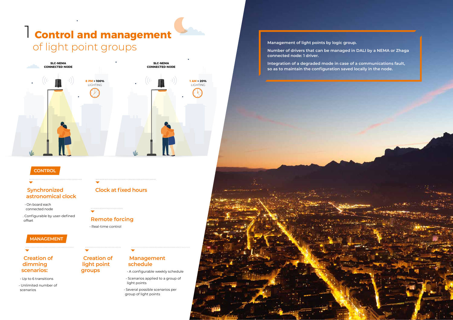**Management of light points by logic group. Number of drivers that can be managed in DALI by a NEMA or Zhaga** 

**connected node: 1 driver.**

**Integration of a degraded mode in case of a communications fault, so as to maintain the configuration saved locally in the node.**

## **Control and management** 1 of light point groups

#### **Synchronized astronomical clock**

• On board each connected node

. Configurable by user-defined offset

#### **Creation of dimming scenarios:**

• Up to 6 transitions

• Unlimited number of scenarios

**Creation of light point** 

**groups**

 $\overline{\phantom{0}}$ 

### **Management schedule**

• A configurable weekly schedule

- Scenarios applied to a group of light points
- Several possible scenarios per group of light points

### **Clock at fixed hours**

### **Remote forcing**

• Real-time control



#### **CONTROL**

#### **MANAGEMENT**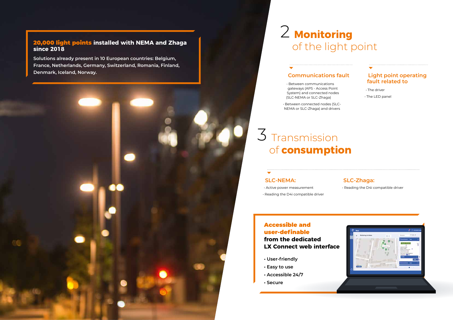## 2 Monitoring of the light point

## $3$  Transmission of **consumption**

#### **Communications fault**

- Between communications gateways (APS - Access Point System) and connected nodes (SLC-NEMA or SLC-Zhaga)
- Between connected nodes (SLC-NEMA or SLC-Zhaga) and drivers

#### **SLC-NEMA:**

• Active power measurement • Reading the D4i compatible driver

#### **SLC-Zhaga:**

• Reading the D4i compatible driver



#### **Light point operating fault related to**

• The driver

• The LED panel

- **User-friendly**
- **Easy to use**
- **Accessible 24/7**
- **Secure**

### Accessible and user-definable

**from the dedicated LX Connect web interface**

**Solutions already present in 10 European countries: Belgium, France, Netherlands, Germany, Switzerland, Romania, Finland, Denmark, Iceland, Norway.** 

#### 20,000 light points **installed with NEMA and Zhaga since 2018**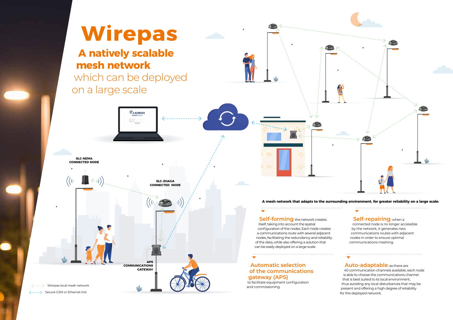

for the deployed network.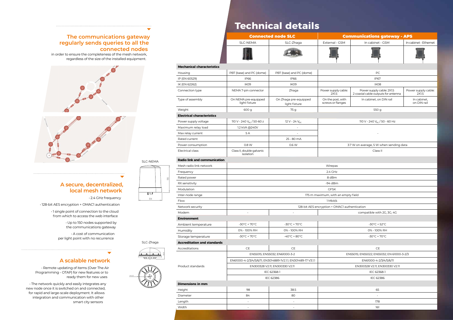#### **The communications gateway regularly sends queries to all the connected nodes**

 in order to ensure the completeness of the mesh network, regardless of the size of the installed equipment.





#### **A secure, decentralized, local mesh network**

• 2.4 GHz frequency

• 128-bit AES encryption + OMAC1 authentication

• 1 single point of connection to the cloud from which to access the web interface

> • Up to 150 nodes supported by the communications gateway

• A cost of communication per light point with no recurrence



#### **A scalable network**

• Remote updating of items (Over The Air Programming - OTAP) for new features or to ready them for new uses

• The network quickly and easily integrates any new node once it is switched on and connected, for rapid and large-scale deployment. It allows integration and communication with other smart city sensors

### **Radio link and communicat** Mesh radio link network Frequency Rated power RX sensitivity Modulation GFSK Inter-node range Flow the contract of the contract of the contract of the contract of the contract of the contract of the contract of the contract of the contract of the contract of the contract of the contract of the contract of the contr Network security **Environment** Ambient temperature Storage temperature **Accreditation and standard** Accreditations CE CE CE Product standards **Dimensions in mm** Height 98 38.5 65 Diameter 84 80 -

| Housing                           | PBT (base) and PC (dome)               | PBI (base) and PC (dome)               | PC                                     |                                          |
|-----------------------------------|----------------------------------------|----------------------------------------|----------------------------------------|------------------------------------------|
| IP (EN 60529)                     | <b>IP66</b>                            | <b>IP66</b>                            | <b>IP67</b>                            |                                          |
| IK (EN 62262)                     | IK <sub>09</sub>                       | IK <sub>09</sub>                       | IK <sub>08</sub>                       |                                          |
| Connection type                   | NEMA 7-pin connector                   | Zhaga                                  | Power supply cable:<br>2X1.5           | Power supply ca<br>2 coaxial cable outpu |
| Type of assembly                  | On NEMA pre-equipped<br>light fixture  | On Zhaga pre-equipped<br>light fixture | On the post, with<br>screws or flanges | In cabinet, on                           |
| Weight                            | 600 g                                  | 75 g                                   | 550 g                                  |                                          |
| <b>Electrical characteristics</b> |                                        |                                        |                                        |                                          |
| Power supply voltage              | 110 V - 240 $V_{AC}$ / 50-60 z         | $12 V - 24 V_{pc}$                     | 110 V - 240 $V_{AC}$ /                 |                                          |
| Maximum relay load                | 1.2 kVA @240V                          |                                        |                                        |                                          |
| Max relay current                 | 5 A                                    | -                                      |                                        |                                          |
| Rated current                     |                                        | 25 - 80 mA                             |                                        |                                          |
| Power consumption                 | 0.8 W                                  | 0.6 W                                  | 3.7 W on average, 5 W v                |                                          |
| <b>Electrical class</b>           | Class II, double galvanic<br>isolation |                                        | Class I                                |                                          |
|                                   |                                        |                                        |                                        |                                          |

|                                     | <b>Connected node SLC</b>                                     |                                               | <b>Communications gateway - APS</b>       |                                                                  |                              |  |  |  |
|-------------------------------------|---------------------------------------------------------------|-----------------------------------------------|-------------------------------------------|------------------------------------------------------------------|------------------------------|--|--|--|
|                                     | <b>SLC-NEMA</b>                                               | SLC-Zhaga                                     | External - GSM                            | In cabinet - GSM                                                 | In cabinet - Ethernet        |  |  |  |
|                                     |                                                               |                                               |                                           |                                                                  |                              |  |  |  |
| <b>Mechanical characteristics</b>   |                                                               |                                               |                                           |                                                                  |                              |  |  |  |
| Housing                             | PBT (base) and PC (dome)                                      | PBT (base) and PC (dome)                      | PC                                        |                                                                  |                              |  |  |  |
| IP (EN 60529)                       | <b>IP66</b>                                                   | <b>IP66</b>                                   | <b>IP67</b>                               |                                                                  |                              |  |  |  |
| IK (EN 62262)                       | IK09                                                          | IK09                                          | IK08                                      |                                                                  |                              |  |  |  |
| Connection type                     | NEMA 7-pin connector                                          | Zhaga                                         | Power supply cable:<br>2X1.5              | Power supply cable: 2X1.5<br>2 coaxial cable outputs for antenna | Power supply cable:<br>2X1.5 |  |  |  |
| Type of assembly                    | On NEMA pre-equipped<br>light fixture                         | On Zhaga pre-equipped<br>light fixture        | On the post, with<br>screws or flanges    | In cabinet, on DIN rail                                          | In cabinet,<br>on DIN rail   |  |  |  |
| Weight                              | 600 g                                                         | 75 g                                          | 550 g                                     |                                                                  |                              |  |  |  |
| <b>Electrical characteristics</b>   |                                                               |                                               |                                           |                                                                  |                              |  |  |  |
| Power supply voltage                | 110 V - 240 V <sub>AC</sub> / 50-60 z                         | $12 V - 24 V_{DC}$                            | 110 V - 240 V <sub>AC</sub> / 50 - 60 Hz  |                                                                  |                              |  |  |  |
| Maximum relay load                  | 1.2 kVA @240V                                                 | $\overline{a}$                                |                                           |                                                                  |                              |  |  |  |
| Max relay current                   | 5A                                                            | $\overline{\phantom{a}}$                      |                                           |                                                                  |                              |  |  |  |
| Rated current                       |                                                               | 25 - 80 mA                                    |                                           |                                                                  |                              |  |  |  |
| Power consumption                   | 0.8 W                                                         | 0.6 W                                         | 3.7 W on average, 5 W when sending data   |                                                                  |                              |  |  |  |
| Electrical class                    | Class II, double galvanic<br>isolation                        |                                               | Class II                                  |                                                                  |                              |  |  |  |
| <b>Radio link and communication</b> |                                                               |                                               |                                           |                                                                  |                              |  |  |  |
| Mesh radio link network             | Wirepas                                                       |                                               |                                           |                                                                  |                              |  |  |  |
| Frequency                           | 2.4 GHz                                                       |                                               |                                           |                                                                  |                              |  |  |  |
| Rated power                         | 8 dBm                                                         |                                               |                                           |                                                                  |                              |  |  |  |
| RX sensitivity                      | $-94$ dBm                                                     |                                               |                                           |                                                                  |                              |  |  |  |
| Modulation                          | <b>GFSK</b>                                                   |                                               |                                           |                                                                  |                              |  |  |  |
| Inter-node range                    | 175 m maximum, with an empty field                            |                                               |                                           |                                                                  |                              |  |  |  |
| Flow                                | 1 Mbit/s                                                      |                                               |                                           |                                                                  |                              |  |  |  |
| Network security                    |                                                               | 128-bit AES encryption + OMAC1 authentication |                                           |                                                                  |                              |  |  |  |
| Modem                               | compatible with 2G, 3G, 4G<br>$\overline{a}$                  |                                               |                                           |                                                                  |                              |  |  |  |
| <b>Environment</b>                  |                                                               |                                               |                                           |                                                                  |                              |  |  |  |
| Ambient temperature                 | $-30^{\circ}$ C + 70 $^{\circ}$ C                             | $-30^{\circ}$ C + 70 $^{\circ}$ C             | $-30^{\circ}$ C + 52°C                    |                                                                  |                              |  |  |  |
| Humidity                            | 0% - 100% RH                                                  | 0% - 100% RH                                  | 0% - 100% RH                              |                                                                  |                              |  |  |  |
| Storage temperature                 | -30 $\mathrm{^{\circ}C}$ + 70 $\mathrm{^{\circ}C}$            | $-40^{\circ}$ C + 80 $^{\circ}$ C             | $-30^{\circ}$ C + 70 $^{\circ}$ C         |                                                                  |                              |  |  |  |
| <b>Accreditation and standards</b>  |                                                               |                                               |                                           |                                                                  |                              |  |  |  |
| Accreditations                      | $\mathsf{CE}% _{\mathcal{A}}$                                 | $\mathsf{CE}% _{\mathcal{A}}$                 | $\mathsf{CE}$                             |                                                                  |                              |  |  |  |
|                                     |                                                               | EN55015; EN55032; EN61000-3-2                 | EN55015; EN55022; EN55032; EN 61000-3-2/3 |                                                                  |                              |  |  |  |
|                                     | EN61000-4-2/3/4/5/6/11; EN3014889-1V2.1.1; EN301489-17 V3.1.1 |                                               | EN61000-4-2/3/4/5/6/11                    |                                                                  |                              |  |  |  |
| Product standards                   | EN300328 V2.11; EN300330 V2.11                                |                                               | EN300328 V2.11; EN300330 V2.11            |                                                                  |                              |  |  |  |
|                                     | IEC 62368-1                                                   |                                               | IEC 62368-1                               |                                                                  |                              |  |  |  |
|                                     | IEC 62386                                                     |                                               | IEC 62386                                 |                                                                  |                              |  |  |  |
| <b>Dimensions in mm</b>             |                                                               |                                               |                                           |                                                                  |                              |  |  |  |
| Height                              | 98                                                            | 38.5                                          | 65                                        |                                                                  |                              |  |  |  |
| Diameter                            | 84                                                            | 80                                            | $\sim$                                    |                                                                  |                              |  |  |  |
| Length                              | $\overline{\phantom{a}}$                                      | $\overline{a}$                                | 178                                       |                                                                  |                              |  |  |  |
| Width                               | $\overline{a}$                                                | $\overline{a}$                                | 161                                       |                                                                  |                              |  |  |  |

## **Technical details**

## SLC-NEMA



SLC-Zhaga